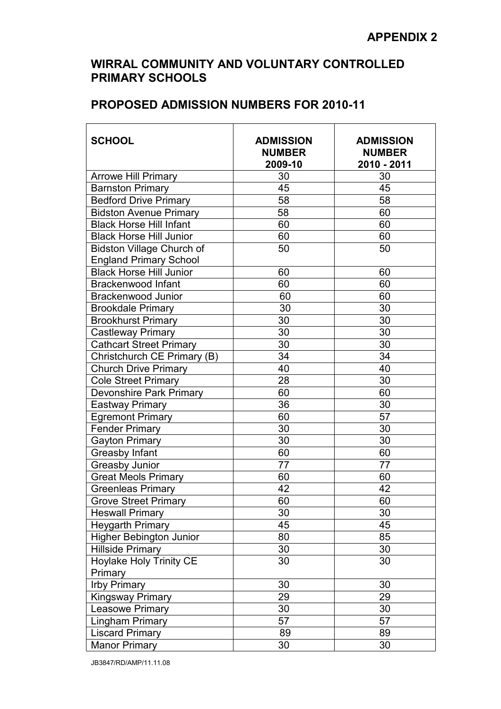## WIRRAL COMMUNITY AND VOLUNTARY CONTROLLED PRIMARY SCHOOLS

## PROPOSED ADMISSION NUMBERS FOR 2010-11

| <b>SCHOOL</b>                                                     | <b>ADMISSION</b><br><b>NUMBER</b><br>2009-10 | <b>ADMISSION</b><br><b>NUMBER</b><br>2010 - 2011 |
|-------------------------------------------------------------------|----------------------------------------------|--------------------------------------------------|
| <b>Arrowe Hill Primary</b>                                        | 30                                           | 30                                               |
| <b>Barnston Primary</b>                                           | 45                                           | 45                                               |
| <b>Bedford Drive Primary</b>                                      | 58                                           | 58                                               |
| <b>Bidston Avenue Primary</b>                                     | 58                                           | 60                                               |
| <b>Black Horse Hill Infant</b>                                    | 60                                           | 60                                               |
| <b>Black Horse Hill Junior</b>                                    | 60                                           | 60                                               |
| <b>Bidston Village Church of</b><br><b>England Primary School</b> | 50                                           | 50                                               |
| <b>Black Horse Hill Junior</b>                                    | 60                                           | 60                                               |
| <b>Brackenwood Infant</b>                                         | 60                                           | 60                                               |
| <b>Brackenwood Junior</b>                                         | 60                                           | 60                                               |
| <b>Brookdale Primary</b>                                          | 30                                           | 30                                               |
| <b>Brookhurst Primary</b>                                         | 30                                           | 30                                               |
| <b>Castleway Primary</b>                                          | 30                                           | $\overline{30}$                                  |
| <b>Cathcart Street Primary</b>                                    | 30                                           | $\overline{30}$                                  |
| Christchurch CE Primary (B)                                       | 34                                           | 34                                               |
| <b>Church Drive Primary</b>                                       | 40                                           | 40                                               |
| <b>Cole Street Primary</b>                                        | 28                                           | 30                                               |
| <b>Devonshire Park Primary</b>                                    | 60                                           | 60                                               |
| <b>Eastway Primary</b>                                            | 36                                           | 30                                               |
| <b>Egremont Primary</b>                                           | 60                                           | 57                                               |
| Fender Primary                                                    | 30                                           | 30                                               |
| <b>Gayton Primary</b>                                             | 30                                           | 30                                               |
| Greasby Infant                                                    | 60                                           | 60                                               |
| <b>Greasby Junior</b>                                             | 77                                           | 77                                               |
| <b>Great Meols Primary</b>                                        | 60                                           | 60                                               |
| <b>Greenleas Primary</b>                                          | 42                                           | 42                                               |
| <b>Grove Street Primary</b>                                       | 60                                           | 60                                               |
| <b>Heswall Primary</b>                                            | 30                                           | 30                                               |
| <b>Heygarth Primary</b>                                           | 45                                           | 45                                               |
| Higher Bebington Junior                                           | 80                                           | 85                                               |
| <b>Hillside Primary</b>                                           | 30                                           | 30                                               |
| <b>Hoylake Holy Trinity CE</b>                                    | 30                                           | 30                                               |
| Primary                                                           |                                              |                                                  |
| <b>Irby Primary</b>                                               | 30                                           | 30                                               |
| Kingsway Primary                                                  | 29                                           | 29                                               |
| Leasowe Primary                                                   | 30                                           | 30                                               |
| <b>Lingham Primary</b>                                            | 57                                           | 57                                               |
| <b>Liscard Primary</b>                                            | 89                                           | 89                                               |
| <b>Manor Primary</b>                                              | 30                                           | 30                                               |

JB3847/RD/AMP/11.11.08